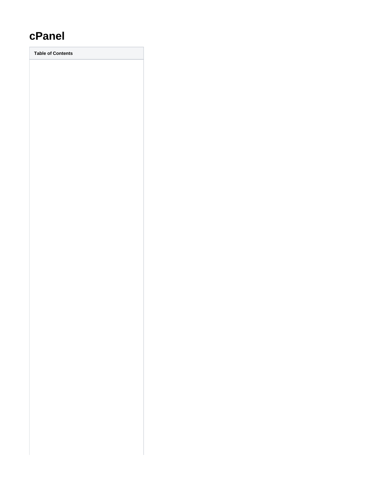# **cPanel**

**Table of Contents**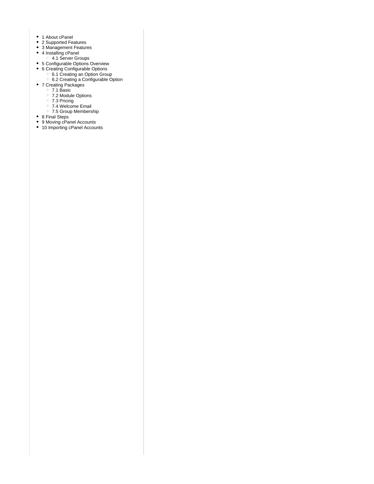- 1 [About cPanel](#page-3-0)
- 2 [Supported Features](#page-3-1)
- 3 [Management Features](#page-3-2)
- 4 [Installing cPanel](#page-3-3)
	- 4.1 [Server Groups](#page-5-0)
- 5 [Configurable Options Overview](#page-5-1)
- 6 [Creating Configurable Options](#page-5-2)
- 6.1 [Creating an Option Group](#page-6-0)
- 6.2 [Creating a Configurable Option](#page-6-1)
	- 7 [Creating Packages](#page-6-2)
	- 7.1 [Basic](#page-6-3)
	- 7.2 [Module Options](#page-7-0)
	- 7.3 [Pricing](#page-7-1)
	- 7.4 [Welcome Email](#page-8-0)
	- 7.5 [Group Membership](#page-11-0)
- 8 [Final Steps](#page-12-0)
- 9 [Moving cPanel Accounts](#page-12-1)
- 10 [Importing cPanel Accounts](#page-12-2)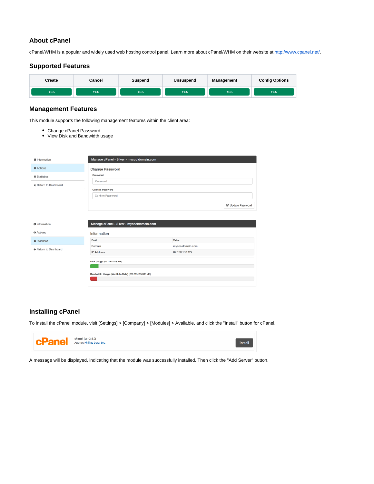# <span id="page-3-0"></span>**About cPanel**

cPanel/WHM is a popular and widely used web hosting control panel. Learn more about cPanel/WHM on their website at [http://www.cpanel.net/.](http://www.cpanel.net/)

# **Supported Features**

<span id="page-3-1"></span>

### <span id="page-3-2"></span>**Management Features**

This module supports the following management features within the client area:

- Change cPanel Password
- View Disk and Bandwidth usage

| <b>O</b> Information              | Manage cPanel - Silver - mycooldomain.com          |                  |                   |
|-----------------------------------|----------------------------------------------------|------------------|-------------------|
| <b>☆</b> Actions                  | <b>Change Password</b>                             |                  |                   |
| <b><math>\$</math></b> Statistics | Password                                           |                  |                   |
| ← Return to Dashboard             | Password                                           |                  |                   |
|                                   | <b>Confirm Password</b>                            |                  |                   |
|                                   | Confirm Password                                   |                  |                   |
|                                   |                                                    |                  | C Update Password |
| <b>O</b> Information              | Manage cPanel - Silver - mycooldomain.com          |                  |                   |
| <b><math>Φ</math></b> Actions     | Information                                        |                  |                   |
| <b><math>\$</math></b> Statistics | Field                                              | Value            |                   |
| ← Return to Dashboard             | Domain                                             | mycooldomain.com |                   |
|                                   | <b>IP Address</b>                                  | 67.136.133.122   |                   |
|                                   | Disk Usage (50 MB/2048 MB)                         |                  |                   |
|                                   | Bandwidth Usage (Month to Date) (200 MB/204800 MB) |                  |                   |
|                                   |                                                    |                  |                   |

# <span id="page-3-3"></span>**Installing cPanel**

To install the cPanel module, visit [Settings] > [Company] > [Modules] > Available, and click the "Install" button for cPanel.



A message will be displayed, indicating that the module was successfully installed. Then click the "Add Server" button.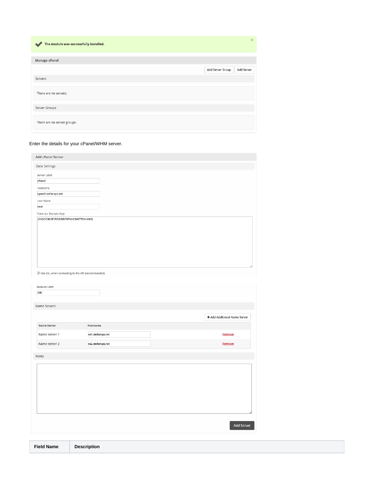| The module was successfully installed. |                  | $\boldsymbol{\times}$ |
|----------------------------------------|------------------|-----------------------|
| <b>Manage cPanel</b>                   |                  |                       |
|                                        | Add Server Group | <b>Add Server</b>     |
| <b>Servers</b>                         |                  |                       |
| There are no servers.                  |                  |                       |
| Server Groups                          |                  |                       |
| There are no server groups.            |                  |                       |

### Enter the details for your cPanel/WHM server.

| <b>Basic Settings</b>            |  |  |
|----------------------------------|--|--|
|                                  |  |  |
| Server Label                     |  |  |
| cPanel                           |  |  |
| Hostname                         |  |  |
| cpanel.stellarvps.net            |  |  |
| <b>User Name</b>                 |  |  |
| root                             |  |  |
| <b>Token (or Remote Key)</b>     |  |  |
| JYQCC925FIRC2GBF5RNIC3I97T5YLH6Q |  |  |
|                                  |  |  |
|                                  |  |  |
|                                  |  |  |
|                                  |  |  |
|                                  |  |  |
|                                  |  |  |
|                                  |  |  |
|                                  |  |  |

| <b>Account Limit</b> |                    |                              |
|----------------------|--------------------|------------------------------|
| 200                  |                    |                              |
|                      |                    |                              |
| Name Servers         |                    |                              |
|                      |                    |                              |
|                      |                    | + Add Additional Name Server |
| <b>Name Server</b>   | Hostname           |                              |
| Name server 1        | ns1.stellarvps.net | Remove                       |
|                      |                    |                              |
| Name server 2        | ns2.stellarvps.net | Remove                       |
| Notes                |                    |                              |
|                      |                    |                              |
|                      |                    |                              |
|                      |                    |                              |
|                      |                    |                              |
|                      |                    |                              |
|                      |                    |                              |
|                      |                    |                              |
|                      |                    |                              |
|                      |                    |                              |
|                      |                    |                              |
|                      |                    | Add Server                   |
|                      |                    |                              |
|                      |                    |                              |

| Field Name Description |
|------------------------|
|------------------------|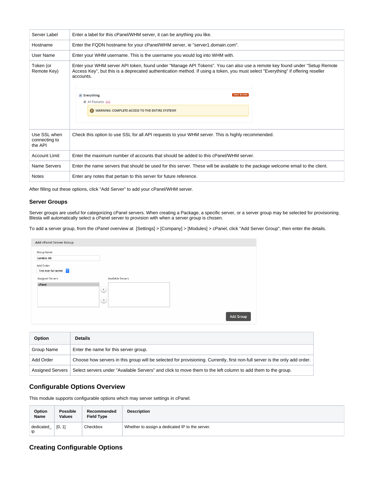| Server Label                             | Enter a label for this cPanel/WHM server, it can be anything you like.                                                                                                                                                                                                                                                                                                                                      |  |  |
|------------------------------------------|-------------------------------------------------------------------------------------------------------------------------------------------------------------------------------------------------------------------------------------------------------------------------------------------------------------------------------------------------------------------------------------------------------------|--|--|
| Hostname                                 | Enter the FQDN hostname for your cPanel/WHM server, ie "server1.domain.com".                                                                                                                                                                                                                                                                                                                                |  |  |
| User Name                                | Enter your WHM username. This is the username you would log into WHM with.                                                                                                                                                                                                                                                                                                                                  |  |  |
| Token (or<br>Remote Key)                 | Enter your WHM server API token, found under "Manage API Tokens". You can also use a remote key found under "Setup Remote<br>Access Key", but this is a deprecated authentication method. If using a token, you must select "Everything" if offering reseller<br>accounts.<br><b>Root Access</b><br>$\blacktriangleright$ Everything<br>All Features all<br>WARNING: COMPLETE ACCESS TO THE ENTIRE SYSTEM!! |  |  |
| Use SSL when<br>connecting to<br>the API | Check this option to use SSL for all API requests to your WHM server. This is highly recommended.                                                                                                                                                                                                                                                                                                           |  |  |
| Account Limit                            | Enter the maximum number of accounts that should be added to this cPanel/WHM server.                                                                                                                                                                                                                                                                                                                        |  |  |
| Name Servers                             | Enter the name servers that should be used for this server. These will be available to the package welcome email to the client.                                                                                                                                                                                                                                                                             |  |  |
| <b>Notes</b>                             | Enter any notes that pertain to this server for future reference.                                                                                                                                                                                                                                                                                                                                           |  |  |

After filling out these options, click "Add Server" to add your cPanel/WHM server.

### <span id="page-5-0"></span>**Server Groups**

Server groups are useful for categorizing cPanel servers. When creating a Package, a specific server, or a server group may be selected for provisioning. Blesta will automatically select a cPanel server to provision with when a server group is chosen.

To add a server group, from the cPanel overview at [Settings] > [Company] > [Modules] > cPanel, click "Add Server Group", then enter the details.

| <b>Add cPanel Server Group</b> |                                          |                  |
|--------------------------------|------------------------------------------|------------------|
| Group Name<br>London, UK       |                                          |                  |
| Add Order                      |                                          |                  |
| First non-full server ©        |                                          |                  |
| <b>Assigned Servers</b>        | Available Servers                        |                  |
| cPanel                         | $\left( \left( \right)$<br>$\rightarrow$ |                  |
|                                |                                          | <b>Add Group</b> |

| Option                  | <b>Details</b>                                                                                                              |
|-------------------------|-----------------------------------------------------------------------------------------------------------------------------|
| Group Name              | Enter the name for this server group.                                                                                       |
| Add Order               | Choose how servers in this group will be selected for provisioning. Currently, first non-full server is the only add order. |
| <b>Assigned Servers</b> | Select servers under "Available Servers" and click to move them to the left column to add them to the group.                |

# <span id="page-5-1"></span>**Configurable Options Overview**

This module supports configurable options which may server settings in cPanel.

| Option          | <b>Possible</b> | Recommended       | <b>Description</b>                              |
|-----------------|-----------------|-------------------|-------------------------------------------------|
| Name            | Values          | <b>Field Type</b> |                                                 |
| dedicated<br>ip | [0, 1]          | Checkbox          | Whether to assign a dedicated IP to the server. |

# <span id="page-5-2"></span>**Creating Configurable Options**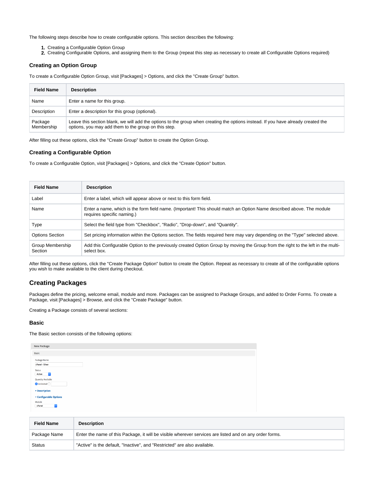The following steps describe how to create configurable options. This section describes the following:

- 1. Creating a Configurable Option Group
- 2. Creating Configurable Options, and assigning them to the Group (repeat this step as necessary to create all Configurable Options required)

### <span id="page-6-0"></span>**Creating an Option Group**

To create a Configurable Option Group, visit [Packages] > Options, and click the "Create Group" button.

| <b>Field Name</b>     | <b>Description</b>                                                                                                                                                                        |
|-----------------------|-------------------------------------------------------------------------------------------------------------------------------------------------------------------------------------------|
| Name                  | Enter a name for this group.                                                                                                                                                              |
| Description           | Enter a description for this group (optional).                                                                                                                                            |
| Package<br>Membership | Leave this section blank, we will add the options to the group when creating the options instead. If you have already created the<br>options, you may add them to the group on this step. |

After filling out these options, click the "Create Group" button to create the Option Group.

### <span id="page-6-1"></span>**Creating a Configurable Option**

To create a Configurable Option, visit [Packages] > Options, and click the "Create Option" button.

| <b>Field Name</b>           | <b>Description</b>                                                                                                                                 |
|-----------------------------|----------------------------------------------------------------------------------------------------------------------------------------------------|
| Label                       | Enter a label, which will appear above or next to this form field.                                                                                 |
| Name                        | Enter a name, which is the form field name. (Important! This should match an Option Name described above. The module<br>requires specific naming.) |
| Type                        | Select the field type from "Checkbox", "Radio", "Drop-down", and "Quantity".                                                                       |
| <b>Options Section</b>      | Set pricing information within the Options section. The fields required here may vary depending on the "Type" selected above.                      |
| Group Membership<br>Section | Add this Configurable Option to the previously created Option Group by moving the Group from the right to the left in the multi-<br>select box.    |

After filling out these options, click the "Create Package Option" button to create the Option. Repeat as necessary to create all of the configurable options you wish to make available to the client during checkout.

# <span id="page-6-2"></span>**Creating Packages**

Packages define the pricing, welcome email, module and more. Packages can be assigned to Package Groups, and added to Order Forms. To create a Package, visit [Packages] > Browse, and click the "Create Package" button.

Creating a Package consists of several sections:

### <span id="page-6-3"></span>**Basic**

The Basic section consists of the following options:

| <b>New Package</b>              |  |  |
|---------------------------------|--|--|
| Basic                           |  |  |
|                                 |  |  |
| Package Name                    |  |  |
| cPanel - Silver                 |  |  |
| Status                          |  |  |
| $\ddot{\circ}$<br>Active        |  |  |
| Quantity Available              |  |  |
| $\bigcirc$ Unlimited $\bigcirc$ |  |  |
|                                 |  |  |
| <b>v</b> Description            |  |  |
|                                 |  |  |
| <b>v</b> Configurable Options   |  |  |
| Module                          |  |  |
| $ \hat{\mathbf{c}} $<br>cPanel  |  |  |
|                                 |  |  |

| <b>Field Name</b> | <b>Description</b>                                                                                      |
|-------------------|---------------------------------------------------------------------------------------------------------|
| Package Name      | Enter the name of this Package, it will be visible wherever services are listed and on any order forms. |
| <b>Status</b>     | "Active" is the default, "Inactive", and "Restricted" are also available.                               |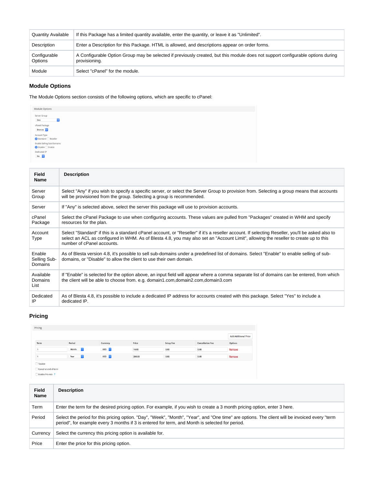| <b>Quantity Available</b> | If this Package has a limited quantity available, enter the quantity, or leave it as "Unlimited".                                                |
|---------------------------|--------------------------------------------------------------------------------------------------------------------------------------------------|
| Description               | Enter a Description for this Package. HTML is allowed, and descriptions appear on order forms.                                                   |
| Configurable<br>Options   | A Configurable Option Group may be selected if previously created, but this module does not support configurable options during<br>provisioning. |
| Module                    | Select "cPanel" for the module.                                                                                                                  |

## <span id="page-7-0"></span>**Module Options**

The Module Options section consists of the following options, which are specific to cPanel:

| Module Options                                                     |  |
|--------------------------------------------------------------------|--|
| Server Group<br>$ \hat{\phi} $<br>Dev                              |  |
| cPanel Package<br>Bronze C                                         |  |
| Account Type<br>Standard Reseller                                  |  |
| Enable Selling Sub-Domains<br>$\bigcirc$ Disable $\bigcirc$ Enable |  |
| Dedicated IP<br>No C                                               |  |

| <b>Field</b><br><b>Name</b>              | <b>Description</b>                                                                                                                                                                                                                                                                                                      |
|------------------------------------------|-------------------------------------------------------------------------------------------------------------------------------------------------------------------------------------------------------------------------------------------------------------------------------------------------------------------------|
| Server<br>Group                          | Select "Any" if you wish to specify a specific server, or select the Server Group to provision from. Selecting a group means that accounts<br>will be provisioned from the group. Selecting a group is recommended.                                                                                                     |
| Server                                   | If "Any" is selected above, select the server this package will use to provision accounts.                                                                                                                                                                                                                              |
| cPanel<br>Package                        | Select the cPanel Package to use when configuring accounts. These values are pulled from "Packages" created in WHM and specify<br>resources for the plan.                                                                                                                                                               |
| Account<br>Type                          | Select "Standard" if this is a standard cPanel account, or "Reseller" if it's a reseller account. If selecting Reseller, you'll be asked also to<br>select an ACL as configured in WHM. As of Blesta 4.8, you may also set an "Account Limit", allowing the reseller to create up to this<br>number of cPanel accounts. |
| Enable<br>Selling Sub-<br><b>Domains</b> | As of Blesta version 4.8, it's possible to sell sub-domains under a predefined list of domains. Select "Enable" to enable selling of sub-<br>domains, or "Disable" to allow the client to use their own domain.                                                                                                         |
| Available<br>Domains<br>List             | If "Enable" is selected for the option above, an input field will appear where a comma separate list of domains can be entered, from which<br>the client will be able to choose from. e.g. domain1.com,domain2.com,domain3.com                                                                                          |
| Dedicated<br>IP                          | As of Blesta 4.8, it's possible to include a dedicated IP address for accounts created with this package. Select "Yes" to include a<br>dedicated IP.                                                                                                                                                                    |

# <span id="page-7-1"></span>**Pricing**

| Pricing               |                         |                  |        |                  |                         |                             |
|-----------------------|-------------------------|------------------|--------|------------------|-------------------------|-----------------------------|
|                       |                         |                  |        |                  |                         | <b>Add Additional Price</b> |
| Term                  | Period                  | Currency         | Price  | <b>Setup Fee</b> | <b>Cancellation Fee</b> | <b>Options</b>              |
|                       | Month<br>I¢.            | USD <sub>c</sub> | 18.00  | 0.00             | 0.00                    | Remove                      |
|                       | Year<br>$ \mathcal{Z} $ | USD 0            | 200.00 | 0.00             | 0.00                    | Remove                      |
| $\Box$ Taxable        |                         |                  |        |                  |                         |                             |
| Cancel at end of term |                         |                  |        |                  |                         |                             |
| Enable Pro rata ?     |                         |                  |        |                  |                         |                             |

| <b>Field</b><br>Name | <b>Description</b>                                                                                                                                                                                                                                |
|----------------------|---------------------------------------------------------------------------------------------------------------------------------------------------------------------------------------------------------------------------------------------------|
| Term                 | Enter the term for the desired pricing option. For example, if you wish to create a 3 month pricing option, enter 3 here.                                                                                                                         |
| Period               | Select the period for this pricing option. "Day", "Week", "Month", "Year", and "One time" are options. The client will be invoiced every "term<br>period", for example every 3 months if 3 is entered for term, and Month is selected for period. |
| Currency             | Select the currency this pricing option is available for.                                                                                                                                                                                         |
| Price                | Enter the price for this pricing option.                                                                                                                                                                                                          |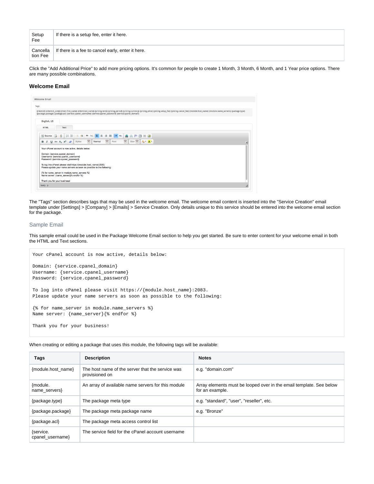| Setup<br>Fee         | If there is a setup fee, enter it here.           |
|----------------------|---------------------------------------------------|
| Cancella<br>tion Fee | If there is a fee to cancel early, enter it here. |

Click the "Add Additional Price" to add more pricing options. It's common for people to create 1 Month, 3 Month, 6 Month, and 1 Year price options. There are many possible combinations.

### <span id="page-8-0"></span>**Welcome Email**

| <b>Welcome Email</b>                    |                                                                                                                                                                                                                                                                                                                                               |
|-----------------------------------------|-----------------------------------------------------------------------------------------------------------------------------------------------------------------------------------------------------------------------------------------------------------------------------------------------------------------------------------------------|
| Tags:                                   |                                                                                                                                                                                                                                                                                                                                               |
|                                         | {client.id} {client.id_code} {client.first_name} {client.last_name} {pricing.term} {pricing.period} {pricing.currency} {pricing.price} {pricing.setup_fee} {pricing.cancel_fee} {module.host_name} {module.name_servers} {pack<br>{package.package} {package.acl} {service.cpanel_username} {service.cpanel_password} {service.cpanel_domain} |
| English, US                             |                                                                                                                                                                                                                                                                                                                                               |
| <b>HTML</b>                             | Text                                                                                                                                                                                                                                                                                                                                          |
|                                         | 图 Source   Q   图   日日  生存  * %   图 畫 畫 圖   +   +   A   A A P 画 圖 圖                                                                                                                                                                                                                                                                            |
| <b>B</b> $I \cup$ also $X_2 \times Z^2$ | $\overline{\mathbf{v}}$<br>$\overline{\phantom{a}}$<br>$\bullet$ Size $\bullet$ $\bullet$ $\bullet$ $\bullet$ $\bullet$ $\bullet$<br>Font<br>Normal<br>Styles                                                                                                                                                                                 |
|                                         | Your cPanel account is now active, details below:                                                                                                                                                                                                                                                                                             |
| Domain: {service.cpanel_domain}         | Username: {service.cpanel_username}<br>Password: {service.cpanel_password}                                                                                                                                                                                                                                                                    |
|                                         | To log into cPanel please visit https://{module.host_name}:2083.<br>Please update your name servers as soon as possible to the following:                                                                                                                                                                                                     |
|                                         | {% for name_server in module.name_servers %}<br>Name server: {name_server}{% endfor %}                                                                                                                                                                                                                                                        |
| Thank you for your business!            |                                                                                                                                                                                                                                                                                                                                               |
| body p                                  |                                                                                                                                                                                                                                                                                                                                               |
|                                         |                                                                                                                                                                                                                                                                                                                                               |

The "Tags" section describes tags that may be used in the welcome email. The welcome email content is inserted into the "Service Creation" email template under [Settings] > [Company] > [Emails] > Service Creation. Only details unique to this service should be entered into the welcome email section for the package.

### Sample Email

This sample email could be used in the Package Welcome Email section to help you get started. Be sure to enter content for your welcome email in both the HTML and Text sections.

```
Your cPanel account is now active, details below:
Domain: {service.cpanel_domain}
Username: {service.cpanel_username}
Password: {service.cpanel_password}
To log into cPanel please visit https://{module.host_name}:2083.
Please update your name servers as soon as possible to the following:
{% for name_server in module.name_servers %}
Name server: {name_server}{% endfor %}
Thank you for your business!
```
When creating or editing a package that uses this module, the following tags will be available:

| Tags                          | <b>Description</b>                                                 | <b>Notes</b>                                                                           |
|-------------------------------|--------------------------------------------------------------------|----------------------------------------------------------------------------------------|
| {module.host name}            | The host name of the server that the service was<br>provisioned on | e.g. "domain.com"                                                                      |
| {module.<br>name servers      | An array of available name servers for this module                 | Array elements must be looped over in the email template. See below<br>for an example. |
| {package.type}                | The package meta type                                              | e.g. "standard", "user", "reseller", etc.                                              |
| {package.package}             | The package meta package name                                      | e.g. "Bronze"                                                                          |
| {package.acl}                 | The package meta access control list                               |                                                                                        |
| {service.<br>cpanel username} | The service field for the cPanel account username                  |                                                                                        |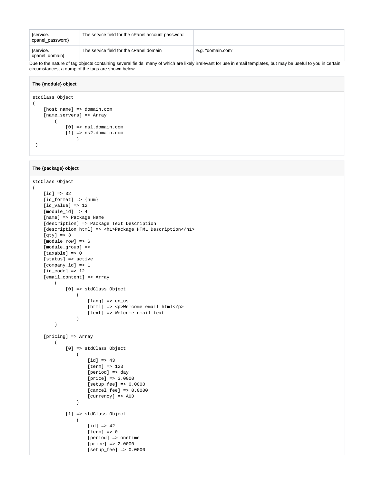| {service.<br>cpanel_password} | The service field for the cPanel account password |                   |
|-------------------------------|---------------------------------------------------|-------------------|
| {service.<br>cpanel_domain}   | The service field for the cPanel domain           | e.g. "domain.com" |

Due to the nature of tag objects containing several fields, many of which are likely irrelevant for use in email templates, but may be useful to you in certain circumstances, a dump of the tags are shown below.

#### **The {module} object**

```
stdClass Object
(
     [host_name] => domain.com
    [name_servers] => Array
       \left( [0] => ns1.domain.com
            [1] => ns2.domain.com
 )
  )
```
#### **The {package} object**

```
stdClass Object
(
     [id] => 32
    [id_format] => {num}[id_value] => 12
     [module_id] => 4
     [name] => Package Name
    [description] => Package Text Description
     [description_html] => <h1>Package HTML Description</h1>
     [qty] => 3
     [module_row] => 6
     [module_group] => 
     [taxable] => 0
     [status] => active
    \hbox{[company_id]} \; \Rightarrow \; 1[id_code] => 12
     [email_content] => Array
        \left( [0] => stdClass Object
\overline{\phantom{a}} [lang] => en_us
                     [html] => <p>Welcome email html</p>
                      [text] => Welcome email text
 )
        \big) [pricing] => Array
        \left( [0] => stdClass Object
\overline{\phantom{a}} [id] => 43
                      [term] => 123
                      [period] => day
                      [price] => 3.0000
                      [setup_fee] => 0.0000
                      [cancel_fee] => 0.0000
                      [currency] => AUD
 )
              [1] => stdClass Object
\overline{\phantom{a}}[id] => 42
                      [term] => 0
                      [period] => onetime
                      [price] => 2.0000
                      [setup_fee] => 0.0000
```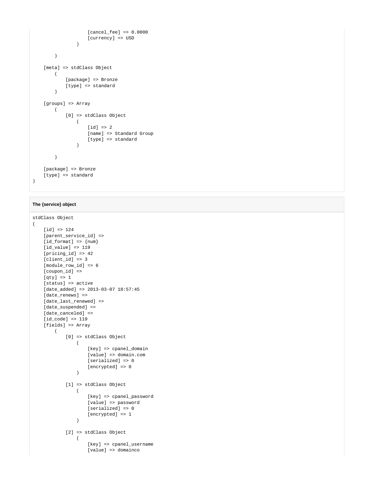```
 [cancel_fee] => 0.0000
                    [currency] => USD
 )
       \lambda [meta] => stdClass Object
        (
            [package] => Bronze
            [type] => standard
        )
    [groups] => Array
        (
            [0] => stdClass Object
              \left( [id] => 2
                    [name] => Standard Group
                    [type] => standard
 )
        )
    [package] => Bronze
   [type] => standard
```
### **The {service} object**

 $\lambda$ 

```
stdClass Object
\left([id] => 124
     [parent_service_id] => 
   [id_format] => {num}id value] => 119
   [pricing id] => 42
     [client_id] => 3
     [module_row_id] => 6
     [coupon_id] => 
    [qty] \Rightarrow 1 [status] => active
     [date_added] => 2013-03-07 18:57:45
     [date_renews] => 
     [date_last_renewed] => 
     [date_suspended] => 
    [date_canceled] =>
     [id_code] => 119
     [fields] => Array
         (
             [0] => stdClass Object
               \left( [key] => cpanel_domain
                    [vale] => domain.com
                     [serialized] => 0
                     [encrypted] => 0
 )
             [1] => stdClass Object
\sim (
                    [key] => cpanel_password
                    [value] => password
                    [serialized] => 0
               [encrypted] \Rightarrow 1 )
             [2] => stdClass Object
\sim (
                     [key] => cpanel_username
                     [value] => domainco
```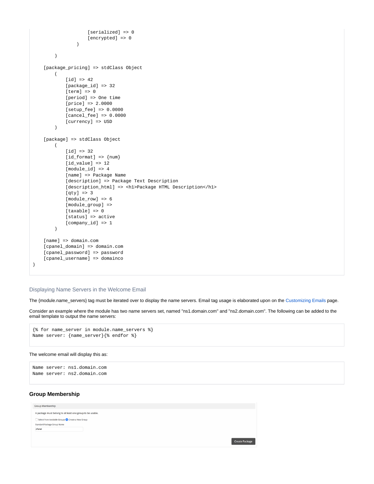```
 [serialized] => 0
                     [encrypted] => 0
 )
         )
     [package_pricing] => stdClass Object
         (
            id] \Rightarrow 42 [package_id] => 32
            [term] => 0
             [period] => One time
             [price] => 2.0000
             [setup_fee] => 0.0000
             [cancel_fee] => 0.0000
             [currency] => USD
        \lambda [package] => stdClass Object
       \left( [id] => 32
            _id_format => \{num\}id value] => 12
             [module_id] => 4
             [name] => Package Name
             [description] => Package Text Description
             [description_html] => <h1>Package HTML Description</h1>
             [qty] => 3
             [module_row] => 6
             [module_group] => 
             [taxable] => 0
             [status] => active
             [company_id] => 1
         )
   [name] => domain.com
   [cpanel_domain] => domain.com
    [cpanel_password] => password
    [cpanel_username] => domainco
```
### Displaying Name Servers in the Welcome Email

The {module.name\_servers} tag must be iterated over to display the name servers. Email tag usage is elaborated upon on the [Customizing Emails](https://docs.blesta.com/display/user/Customizing+Emails) page.

Consider an example where the module has two name servers set, named "ns1.domain.com" and "ns2.domain.com". The following can be added to the email template to output the name servers:

```
{% for name_server in module.name_servers %}
Name server: {name_server}{% endfor %}
```
#### The welcome email will display this as:

```
Name server: ns1.domain.com
Name server: ns2.domain.com
```
### <span id="page-11-0"></span>**Group Membership**

 $\lambda$ 

| <b>Group Membership</b>                                   |                       |
|-----------------------------------------------------------|-----------------------|
| A package must belong to at least one group to be usable. |                       |
| Select from Available Groups C Create a New Group         |                       |
| Standard Package Group Name                               |                       |
| cPanel                                                    |                       |
|                                                           |                       |
|                                                           | <b>Create Package</b> |